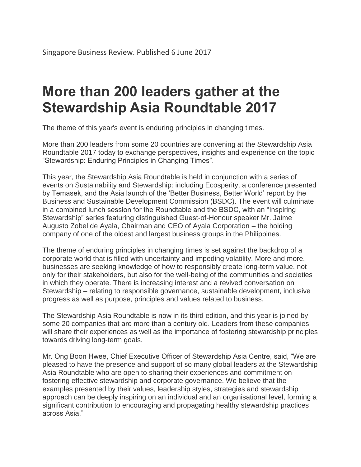## **More than 200 leaders gather at the Stewardship Asia Roundtable 2017**

The theme of this year's event is enduring principles in changing times.

More than 200 leaders from some 20 countries are convening at the Stewardship Asia Roundtable 2017 today to exchange perspectives, insights and experience on the topic "Stewardship: Enduring Principles in Changing Times".

This year, the Stewardship Asia Roundtable is held in conjunction with a series of events on Sustainability and Stewardship: including Ecosperity, a conference presented by Temasek, and the Asia launch of the 'Better Business, Better World' report by the Business and Sustainable Development Commission (BSDC). The event will culminate in a combined lunch session for the Roundtable and the BSDC, with an "Inspiring Stewardship" series featuring distinguished Guest-of-Honour speaker Mr. Jaime Augusto Zobel de Ayala, Chairman and CEO of Ayala Corporation – the holding company of one of the oldest and largest business groups in the Philippines.

The theme of enduring principles in changing times is set against the backdrop of a corporate world that is filled with uncertainty and impeding volatility. More and more, businesses are seeking knowledge of how to responsibly create long-term value, not only for their stakeholders, but also for the well-being of the communities and societies in which they operate. There is increasing interest and a revived conversation on Stewardship – relating to responsible governance, sustainable development, inclusive progress as well as purpose, principles and values related to business.

The Stewardship Asia Roundtable is now in its third edition, and this year is joined by some 20 companies that are more than a century old. Leaders from these companies will share their experiences as well as the importance of fostering stewardship principles towards driving long-term goals.

Mr. Ong Boon Hwee, Chief Executive Officer of Stewardship Asia Centre, said, "We are pleased to have the presence and support of so many global leaders at the Stewardship Asia Roundtable who are open to sharing their experiences and commitment on fostering effective stewardship and corporate governance. We believe that the examples presented by their values, leadership styles, strategies and stewardship approach can be deeply inspiring on an individual and an organisational level, forming a significant contribution to encouraging and propagating healthy stewardship practices across Asia."